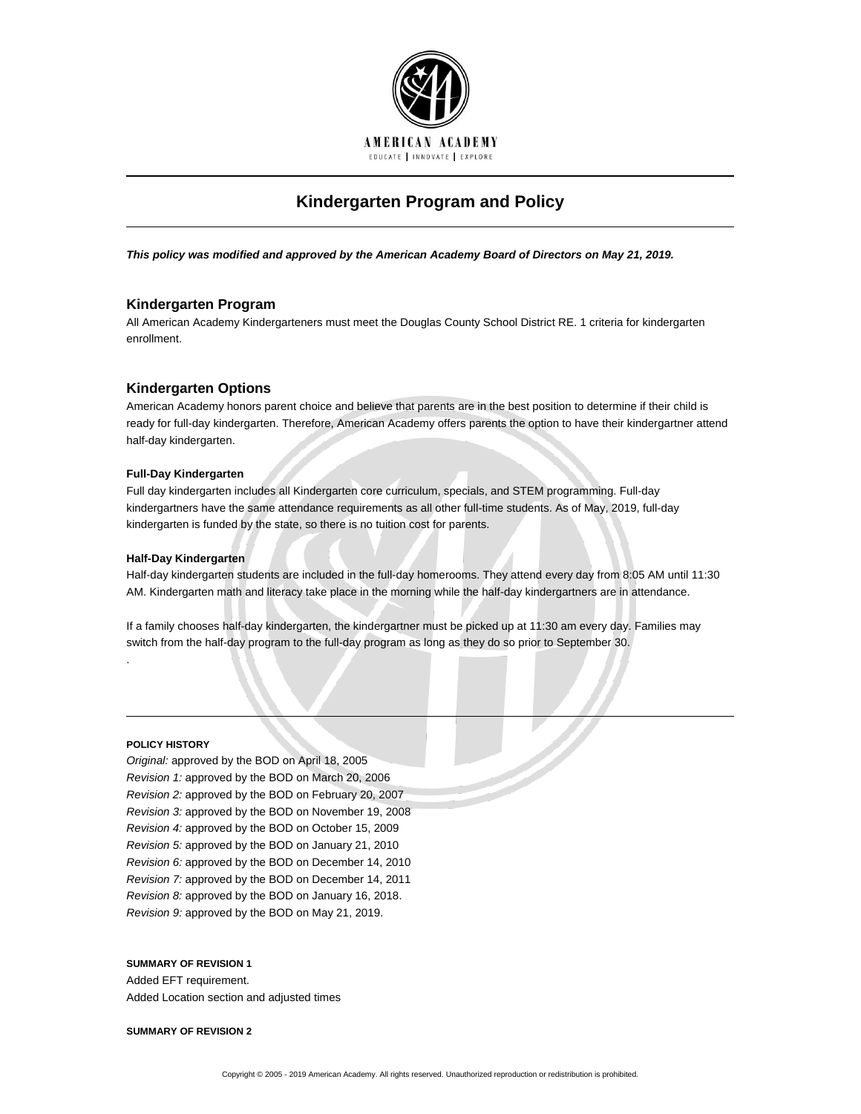

# **Kindergarten Program and Policy**

*This policy was modified and approved by the American Academy Board of Directors on May 21, 2019.*

# **Kindergarten Program**

All American Academy Kindergarteners must meet the Douglas County School District RE. 1 criteria for kindergarten enrollment.

# **Kindergarten Options**

American Academy honors parent choice and believe that parents are in the best position to determine if their child is ready for full-day kindergarten. Therefore, American Academy offers parents the option to have their kindergartner attend half-day kindergarten.

### **Full-Day Kindergarten**

Full day kindergarten includes all Kindergarten core curriculum, specials, and STEM programming. Full-day kindergartners have the same attendance requirements as all other full-time students. As of May, 2019, full-day kindergarten is funded by the state, so there is no tuition cost for parents.

#### **Half-Day Kindergarten**

Half-day kindergarten students are included in the full-day homerooms. They attend every day from 8:05 AM until 11:30 AM. Kindergarten math and literacy take place in the morning while the half-day kindergartners are in attendance.

If a family chooses half-day kindergarten, the kindergartner must be picked up at 11:30 am every day. Families may switch from the half-day program to the full-day program as long as they do so prior to September 30.

#### **POLICY HISTORY**

.

*Original:* approved by the BOD on April 18, 2005 *Revision 1:* approved by the BOD on March 20, 2006 *Revision 2:* approved by the BOD on February 20, 2007 *Revision 3:* approved by the BOD on November 19, 2008 *Revision 4:* approved by the BOD on October 15, 2009 *Revision 5:* approved by the BOD on January 21, 2010 *Revision 6:* approved by the BOD on December 14, 2010 *Revision 7:* approved by the BOD on December 14, 2011 *Revision 8:* approved by the BOD on January 16, 2018. *Revision 9:* approved by the BOD on May 21, 2019.

## **SUMMARY OF REVISION 1**

Added EFT requirement. Added Location section and adjusted times

**SUMMARY OF REVISION 2**